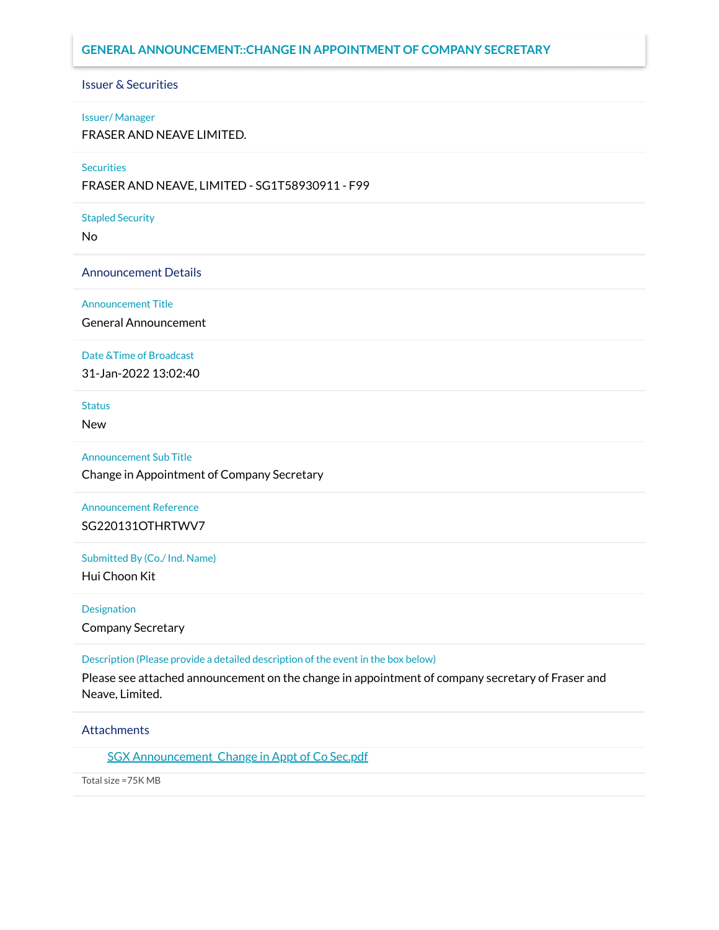### **GENERAL ANNOUNCEMENT::CHANGE IN APPOINTMENT OF COMPANY SECRETARY**

### Issuer & Securities

#### Issuer/ Manager

FRASER AND NEAVE LIMITED.

#### **Securities**

FRASER AND NEAVE, LIMITED - SG1T58930911 - F99

#### Stapled Security

No

Announcement Details

Announcement Title

General Announcement

#### Date &Time of Broadcast

31-Jan-2022 13:02:40

### Status

New

Announcement Sub Title

Change in Appointment of Company Secretary

## Announcement Reference SG220131OTHRTWV7

Submitted By (Co./ Ind. Name)

Hui Choon Kit

### Designation

Company Secretary

Description (Please provide a detailed description of the event in the box below)

Please see attached announcement on the change in appointment of company secretary of Fraser and Neave, Limited.

### **Attachments**

SGX Announcement Change in Appt of Co Sec.pdf

Total size =75K MB